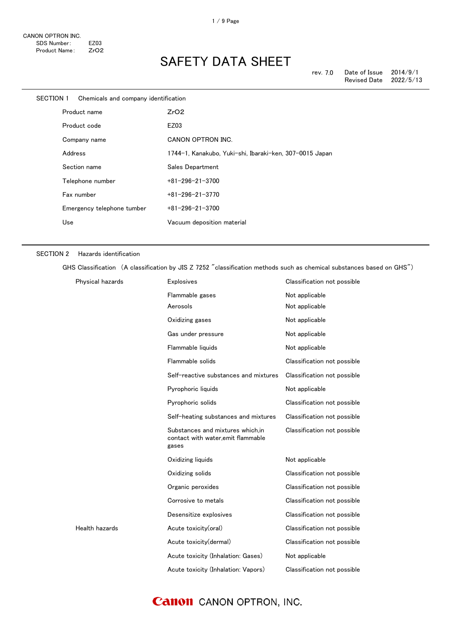| <b>SECTION 1</b><br>Chemicals and company identification |              |                            |                                                         |
|----------------------------------------------------------|--------------|----------------------------|---------------------------------------------------------|
|                                                          | Product name |                            | ZrO2                                                    |
|                                                          |              | Product code               | EZ03                                                    |
|                                                          |              | Company name               | CANON OPTRON INC.                                       |
|                                                          | Address      |                            | 1744-1, Kanakubo, Yuki-shi, Ibaraki-ken, 307-0015 Japan |
|                                                          |              | Section name               | Sales Department                                        |
|                                                          |              | Telephone number           | $+81 - 296 - 21 - 3700$                                 |
|                                                          |              | Fax number                 | $+81 - 296 - 21 - 3770$                                 |
|                                                          |              | Emergency telephone tumber | $+81 - 296 - 21 - 3700$                                 |
|                                                          | Use          |                            | Vacuum deposition material                              |
|                                                          |              |                            |                                                         |

#### SECTION 2 Hazards identification

GHS Classification (A classification by JIS Z 7252 "classification methods such as chemical substances based on GHS")

| Physical hazards | <b>Explosives</b>                                                               | Classification not possible |
|------------------|---------------------------------------------------------------------------------|-----------------------------|
|                  | Flammable gases                                                                 | Not applicable              |
|                  | Aerosols                                                                        | Not applicable              |
|                  | Oxidizing gases                                                                 | Not applicable              |
|                  | Gas under pressure                                                              | Not applicable              |
|                  | Flammable liquids                                                               | Not applicable              |
|                  | Flammable solids                                                                | Classification not possible |
|                  | Self-reactive substances and mixtures                                           | Classification not possible |
|                  | Pyrophoric liquids                                                              | Not applicable              |
|                  | Pyrophoric solids                                                               | Classification not possible |
|                  | Self-heating substances and mixtures                                            | Classification not possible |
|                  | Substances and mixtures which.in<br>contact with water, emit flammable<br>gases | Classification not possible |
|                  | Oxidizing liquids                                                               | Not applicable              |
|                  | Oxidizing solids                                                                | Classification not possible |
|                  | Organic peroxides                                                               | Classification not possible |
|                  | Corrosive to metals                                                             | Classification not possible |
|                  | Desensitize explosives                                                          | Classification not possible |
| Health hazards   | Acute toxicity(oral)                                                            | Classification not possible |
|                  | Acute toxicity(dermal)                                                          | Classification not possible |
|                  | Acute toxicity (Inhalation: Gases)                                              | Not applicable              |
|                  | Acute toxicity (Inhalation: Vapors)                                             | Classification not possible |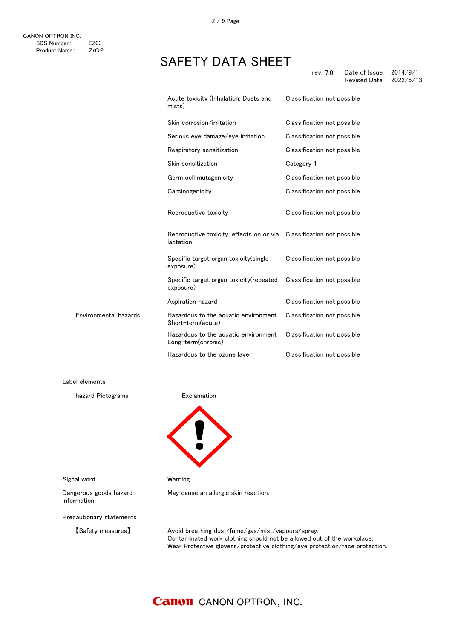|                       | Acute toxicity (Inhalation: Dusts and<br>mists)                                   | Classification not possible |
|-----------------------|-----------------------------------------------------------------------------------|-----------------------------|
|                       | Skin corrosion/irritation                                                         | Classification not possible |
|                       | Serious eye damage/eye irritation                                                 | Classification not possible |
|                       | Respiratory sensitization                                                         | Classification not possible |
|                       | Skin sensitization                                                                | Category 1                  |
|                       | Germ cell mutagenicity                                                            | Classification not possible |
|                       | Carcinogenicity                                                                   | Classification not possible |
|                       | Reproductive toxicity                                                             | Classification not possible |
|                       | Reproductive toxicity, effects on or via Classification not possible<br>lactation |                             |
|                       | Specific target organ toxicity (single<br>exposure)                               | Classification not possible |
|                       | Specific target organ toxicity(repeated<br>exposure)                              | Classification not possible |
|                       | Aspiration hazard                                                                 | Classification not possible |
| Environmental hazards | Hazardous to the aquatic environment<br>Short-term(acute)                         | Classification not possible |
|                       | Hazardous to the aquatic environment<br>Long-term(chronic)                        | Classification not possible |
|                       | Hazardous to the ozone layer                                                      | Classification not possible |

Label elements

hazard Pictograms **Exclamation** 



Signal word Warning

May cause an allergic skin reaction.

Dangerous goods hazard information

Precautionary statements

【Safety measures】 Avoid breathing dust/fume/gas/mist/vapours/spray. Contaminated work clothing should not be allowed out of the workplace. Wear Protective glovess/protective clothing/eye protection/face protection.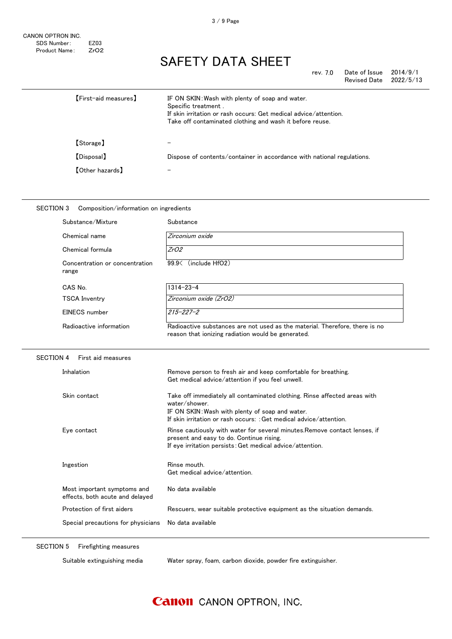| rev. 7.0 | Date of Issue       | 2014/9/1  |
|----------|---------------------|-----------|
|          | <b>Revised Date</b> | 2022/5/13 |

| [First-aid measures]   | IF ON SKIN: Wash with plenty of soap and water.<br>Specific treatment.<br>If skin irritation or rash occurs: Get medical advice/attention.<br>Take off contaminated clothing and wash it before reuse. |
|------------------------|--------------------------------------------------------------------------------------------------------------------------------------------------------------------------------------------------------|
| [Storage]              |                                                                                                                                                                                                        |
| [Disposal]             | Dispose of contents/container in accordance with national regulations.                                                                                                                                 |
| <b>[Other hazards]</b> |                                                                                                                                                                                                        |

| <b>SECTION 3</b><br>Composition/information on ingredients     |                                                                                                                                                                                                                     |  |  |
|----------------------------------------------------------------|---------------------------------------------------------------------------------------------------------------------------------------------------------------------------------------------------------------------|--|--|
| Substance/Mixture                                              | Substance                                                                                                                                                                                                           |  |  |
| Chemical name                                                  | Zirconium oxide                                                                                                                                                                                                     |  |  |
| Chemical formula                                               | ZrO2                                                                                                                                                                                                                |  |  |
| Concentration or concentration<br>range                        | 99.9< (include HfO2)                                                                                                                                                                                                |  |  |
| CAS No.                                                        | $1314 - 23 - 4$                                                                                                                                                                                                     |  |  |
| <b>TSCA Inventry</b>                                           | Zirconium oxide (ZrO2)                                                                                                                                                                                              |  |  |
| EINECS number                                                  | $215 - 227 - 2$                                                                                                                                                                                                     |  |  |
| Radioactive information                                        | Radioactive substances are not used as the material. Therefore, there is no<br>reason that ionizing radiation would be generated.                                                                                   |  |  |
| <b>SECTION 4</b><br>First aid measures                         |                                                                                                                                                                                                                     |  |  |
| Inhalation                                                     | Remove person to fresh air and keep comfortable for breathing.<br>Get medical advice/attention if you feel unwell.                                                                                                  |  |  |
| Skin contact                                                   | Take off immediately all contaminated clothing. Rinse affected areas with<br>water/shower.<br>IF ON SKIN: Wash with plenty of soap and water.<br>If skin irritation or rash occurs: : Get medical advice/attention. |  |  |
| Eye contact                                                    | Rinse cautiously with water for several minutes. Remove contact lenses, if<br>present and easy to do. Continue rising.<br>If eye irritation persists: Get medical advice/attention.                                 |  |  |
| Ingestion                                                      | Rinse mouth.<br>Get medical advice/attention.                                                                                                                                                                       |  |  |
| Most important symptoms and<br>effects, both acute and delayed | No data available                                                                                                                                                                                                   |  |  |
| Protection of first aiders                                     | Rescuers, wear suitable protective equipment as the situation demands.                                                                                                                                              |  |  |
| Special precautions for physicians                             | No data available                                                                                                                                                                                                   |  |  |

SECTION 5 Firefighting measures

Suitable extinguishing media Water spray, foam, carbon dioxide, powder fire extinguisher.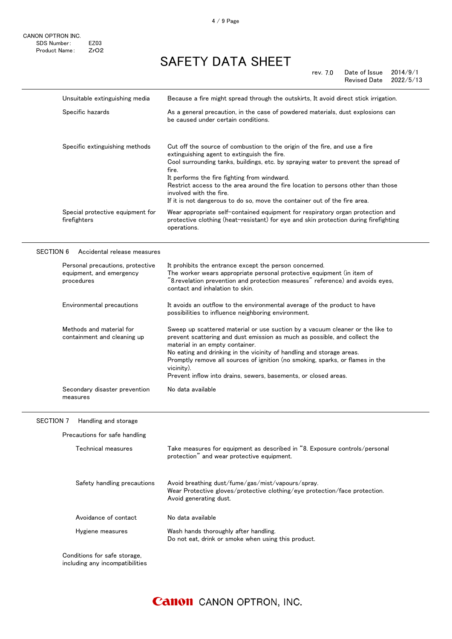| Unsuitable extinguishing media                   | Because a fire might spread through the outskirts, It avoid direct stick irrigation.                                                                                                                                                                                                                                                                                                                                                                                 |
|--------------------------------------------------|----------------------------------------------------------------------------------------------------------------------------------------------------------------------------------------------------------------------------------------------------------------------------------------------------------------------------------------------------------------------------------------------------------------------------------------------------------------------|
| Specific hazards                                 | As a general precaution, in the case of powdered materials, dust explosions can<br>be caused under certain conditions.                                                                                                                                                                                                                                                                                                                                               |
| Specific extinguishing methods                   | Cut off the source of combustion to the origin of the fire, and use a fire<br>extinguishing agent to extinguish the fire.<br>Cool surrounding tanks, buildings, etc. by spraying water to prevent the spread of<br>fire.<br>It performs the fire fighting from windward.<br>Restrict access to the area around the fire location to persons other than those<br>involved with the fire.<br>If it is not dangerous to do so, move the container out of the fire area. |
| Special protective equipment for<br>firefighters | Wear appropriate self-contained equipment for respiratory organ protection and<br>protective clothing (heat-resistant) for eye and skin protection during firefighting<br>operations.                                                                                                                                                                                                                                                                                |

#### SECTION 6 Accidental release measures

| Personal precautions, protective<br>equipment, and emergency<br>procedures | It prohibits the entrance except the person concerned.<br>The worker wears appropriate personal protective equipment (in item of<br>$"$ 8.revelation prevention and protection measures $\degree$ reference) and avoids eyes,<br>contact and inhalation to skin.                                                                                                                                                                         |
|----------------------------------------------------------------------------|------------------------------------------------------------------------------------------------------------------------------------------------------------------------------------------------------------------------------------------------------------------------------------------------------------------------------------------------------------------------------------------------------------------------------------------|
| Environmental precautions                                                  | It avoids an outflow to the environmental average of the product to have<br>possibilities to influence neighboring environment.                                                                                                                                                                                                                                                                                                          |
| Methods and material for<br>containment and cleaning up                    | Sweep up scattered material or use suction by a vacuum cleaner or the like to<br>prevent scattering and dust emission as much as possible, and collect the<br>material in an empty container.<br>No eating and drinking in the vicinity of handling and storage areas.<br>Promptly remove all sources of ignition (no smoking, sparks, or flames in the<br>vicinity).<br>Prevent inflow into drains, sewers, basements, or closed areas. |
| Secondary disaster prevention<br>measures                                  | No data available                                                                                                                                                                                                                                                                                                                                                                                                                        |

### SECTION 7 Handling and storage

| Technical measures          | Take measures for equipment as described in "8. Exposure controls/personal<br>protection" and wear protective equipment.                                  |
|-----------------------------|-----------------------------------------------------------------------------------------------------------------------------------------------------------|
| Safety handling precautions | Avoid breathing dust/fume/gas/mist/vapours/spray.<br>Wear Protective gloves/protective clothing/eye protection/face protection.<br>Avoid generating dust. |
| Avoidance of contact        | No data available                                                                                                                                         |
| Hygiene measures            | Wash hands thoroughly after handling.<br>Do not eat, drink or smoke when using this product.                                                              |

**Canon** CANON OPTRON, INC.

including any incompatibilities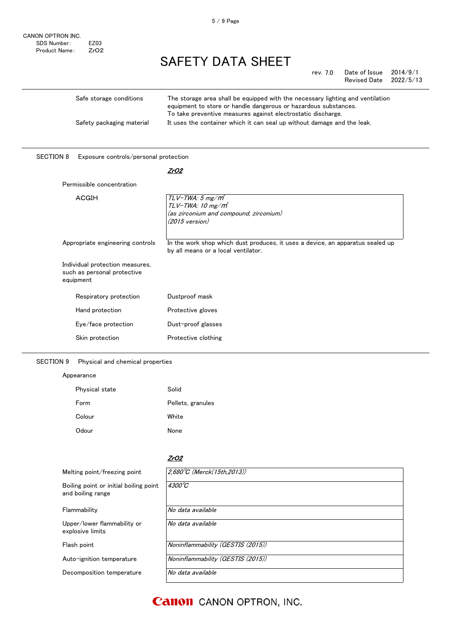| Safe storage conditions   | The storage area shall be equipped with the necessary lighting and ventilation<br>equipment to store or handle dangerous or hazardous substances.<br>To take preventive measures against electrostatic discharge. |
|---------------------------|-------------------------------------------------------------------------------------------------------------------------------------------------------------------------------------------------------------------|
| Safety packaging material | It uses the container which it can seal up without damage and the leak.                                                                                                                                           |

#### SECTION 8 Exposure controls/personal protection

#### <u>ZrO2</u>

### Permissible concentration

| ACGIH                                                                       | $TLV$ -TWA: 5 mg/ $m^3$<br>$TLV$ -TWA: 10 mg/m <sup>3</sup>                    |  |
|-----------------------------------------------------------------------------|--------------------------------------------------------------------------------|--|
|                                                                             |                                                                                |  |
|                                                                             | (as zirconium and compound, zirconium)                                         |  |
|                                                                             | (2015 version)                                                                 |  |
|                                                                             |                                                                                |  |
| Appropriate engineering controls                                            | In the work shop which dust produces, it uses a device, an apparatus sealed up |  |
|                                                                             | by all means or a local ventilator.                                            |  |
|                                                                             |                                                                                |  |
| Individual protection measures,<br>such as personal protective<br>equipment |                                                                                |  |
|                                                                             |                                                                                |  |
| Respiratory protection                                                      | Dustproof mask                                                                 |  |
|                                                                             |                                                                                |  |
| Hand protection                                                             | Protective gloves                                                              |  |
| Eye/face protection                                                         | Dust-proof glasses                                                             |  |
|                                                                             |                                                                                |  |
| Skin protection                                                             | Protective clothing                                                            |  |

#### SECTION 9 Physical and chemical properties

#### Appearance

| Physical state | Solid             |
|----------------|-------------------|
| Form           | Pellets, granules |
| Colour         | White             |
| Odour          | None              |

#### <u>ZrO2</u>

| Melting point/freezing point                                | $2,680^{\circ}$ C (Merck(15th, 2013)) |
|-------------------------------------------------------------|---------------------------------------|
| Boiling point or initial boiling point<br>and boiling range | $4300^{\circ}C$                       |
| Flammability                                                | No data available                     |
| Upper/lower flammability or<br>explosive limits             | No data available                     |
| Flash point                                                 | Noninflammability (GESTIS (2015))     |
| Auto-ignition temperature                                   | Noninflammability (GESTIS (2015))     |
| Decomposition temperature                                   | No data available                     |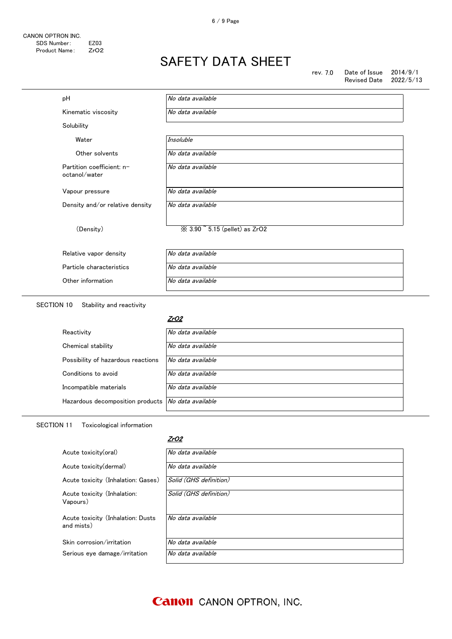rev. 7.0 Date of Issue 2014/9/1<br>Revised Date 2022/5/13 Revised Date

| рH                                         | No data available                                  |
|--------------------------------------------|----------------------------------------------------|
| Kinematic viscosity                        | No data available                                  |
| Solubility                                 |                                                    |
| Water                                      | Insoluble                                          |
| Other solvents                             | No data available                                  |
| Partition coefficient: n-<br>octanol/water | No data available                                  |
| Vapour pressure                            | No data available                                  |
| Density and/or relative density            | No data available                                  |
| (Density)                                  | $\frac{1}{2}$ 3.90 $\degree$ 5.15 (pellet) as ZrO2 |
| Relative vapor density                     | No data available                                  |
| Particle characteristics                   | No data available                                  |
| Other information                          | No data available                                  |

SECTION 10 Stability and reactivity

#### <u>ZrO2</u>

| Reactivity                                           | No data available |
|------------------------------------------------------|-------------------|
| Chemical stability                                   | No data available |
| Possibility of hazardous reactions                   | No data available |
| Conditions to avoid                                  | No data available |
| Incompatible materials                               | No data available |
| Hazardous decomposition products   No data available |                   |

#### SECTION 11 Toxicological information

#### ZrO2

| Acute toxicity(oral)                            | No data available      |
|-------------------------------------------------|------------------------|
| Acute toxicity (dermal)                         | No data available      |
| Acute toxicity (Inhalation: Gases)              | Solid (GHS definition) |
| Acute toxicity (Inhalation:<br>Vapours)         | Solid (GHS definition) |
| Acute toxicity (Inhalation: Dusts<br>and mists) | No data available      |
| Skin corrosion/irritation                       | No data available      |
| Serious eye damage/irritation                   | No data available      |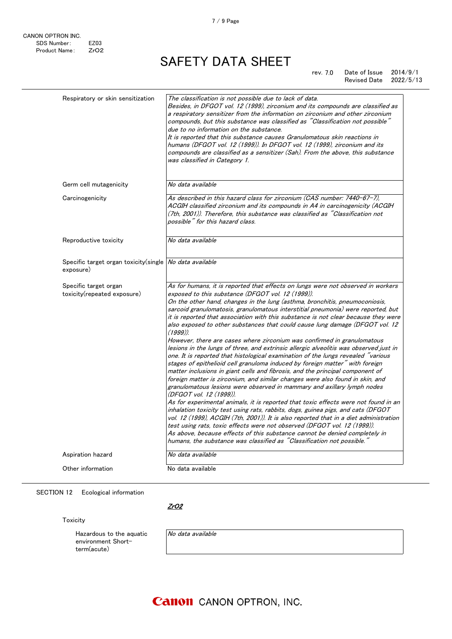rev. 7.0 Date of Issue 2014/9/1<br>Revised Date 2022/5/13 Revised Date

| Respiratory or skin sensitization                                    | The classification is not possible due to lack of data.<br>Besides, in DFGOT vol. 12 (1999), zirconium and its compounds are classified as<br>a respiratory sensitizer from the information on zirconium and other zirconium<br>compounds, but this substance was classified as "Classification not possible"<br>due to no information on the substance.<br>It is reported that this substance causes Granulomatous skin reactions in<br>humans (DFGOT vol. 12 (1999)). In DFGOT vol. 12 (1999), zirconium and its<br>compounds are classified as a sensitizer (Sah). From the above, this substance<br>was classified in Category 1.                                                                                                                                                                                                                                                                                                            |
|----------------------------------------------------------------------|--------------------------------------------------------------------------------------------------------------------------------------------------------------------------------------------------------------------------------------------------------------------------------------------------------------------------------------------------------------------------------------------------------------------------------------------------------------------------------------------------------------------------------------------------------------------------------------------------------------------------------------------------------------------------------------------------------------------------------------------------------------------------------------------------------------------------------------------------------------------------------------------------------------------------------------------------|
| Germ cell mutagenicity                                               | No data available                                                                                                                                                                                                                                                                                                                                                                                                                                                                                                                                                                                                                                                                                                                                                                                                                                                                                                                                |
| Carcinogenicity                                                      | As described in this hazard class for zirconium (CAS number: 7440-67-7).<br>ACGIH classified zirconium and its compounds in A4 in carcinogenicity (ACGIH<br>(7th, 2001)). Therefore, this substance was classified as "Classification not<br>possible" for this hazard class.                                                                                                                                                                                                                                                                                                                                                                                                                                                                                                                                                                                                                                                                    |
| Reproductive toxicity                                                | No data available                                                                                                                                                                                                                                                                                                                                                                                                                                                                                                                                                                                                                                                                                                                                                                                                                                                                                                                                |
| Specific target organ toxicity(single No data available<br>exposure) |                                                                                                                                                                                                                                                                                                                                                                                                                                                                                                                                                                                                                                                                                                                                                                                                                                                                                                                                                  |
| Specific target organ<br>toxicity(repeated exposure)                 | As for humans, it is reported that effects on lungs were not observed in workers<br>exposed to this substance (DFGOT vol. 12 (1999)).<br>On the other hand, changes in the lung (asthma, bronchitis, pneumoconiosis,<br>sarcoid granulomatosis, granulomatous interstitial pneumonia) were reported, but<br>it is reported that association with this substance is not clear because they were<br>also exposed to other substances that could cause lung damage (DFGOT vol. 12)<br>$(1999)$ ).<br>However, there are cases where zirconium was confirmed in granulomatous<br>lesions in the lungs of three, and extrinsic allergic alveolitis was observed just in                                                                                                                                                                                                                                                                               |
|                                                                      | one. It is reported that histological examination of the lungs revealed "various<br>stages of epithelioid cell granuloma induced by foreign matter" with foreign<br>matter inclusions in giant cells and fibrosis, and the principal component of<br>foreign matter is zirconium, and similar changes were also found in skin, and<br>granulomatous lesions were observed in mammary and axillary lymph nodes<br>(DFGOT vol. 12 (1999)).<br>As for experimental animals, it is reported that toxic effects were not found in an<br>inhalation toxicity test using rats, rabbits, dogs, guinea pigs, and cats (DFGOT<br>vol. 12 (1999), ACGIH (7th, 2001)). It is also reported that in a diet administration<br>test using rats, toxic effects were not observed (DFGOT vol. 12 (1999)).<br>As above, because effects of this substance cannot be denied completely in<br>humans, the substance was classified as "Classification not possible." |
| Aspiration hazard                                                    | No data available                                                                                                                                                                                                                                                                                                                                                                                                                                                                                                                                                                                                                                                                                                                                                                                                                                                                                                                                |

### SECTION 12 Ecological information

<u>ZrO2</u>

Toxicity

Hazardous to the aquatic environment Shortterm(acute)

|  | No data available |
|--|-------------------|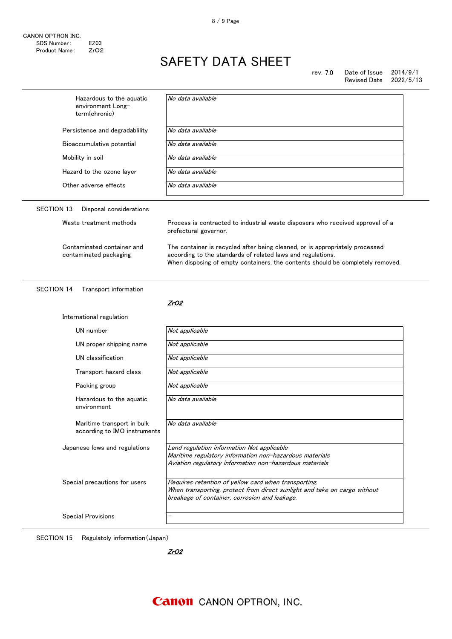| Hazardous to the aquatic<br>environment Long-<br>term(chronic) | No data available                                                                                                                                                                                                             |  |
|----------------------------------------------------------------|-------------------------------------------------------------------------------------------------------------------------------------------------------------------------------------------------------------------------------|--|
| Persistence and degradablility                                 | No data available                                                                                                                                                                                                             |  |
| Bioaccumulative potential                                      | No data available                                                                                                                                                                                                             |  |
| Mobility in soil                                               | No data available                                                                                                                                                                                                             |  |
| Hazard to the ozone layer                                      | No data available                                                                                                                                                                                                             |  |
| Other adverse effects                                          | No data available                                                                                                                                                                                                             |  |
| <b>SECTION 13</b><br>Disposal considerations                   |                                                                                                                                                                                                                               |  |
| Waste treatment methods                                        | Process is contracted to industrial waste disposers who received approval of a<br>prefectural governor.                                                                                                                       |  |
| Contaminated container and<br>contaminated packaging           | The container is recycled after being cleaned, or is appropriately processed<br>according to the standards of related laws and regulations.<br>When disposing of empty containers, the contents should be completely removed. |  |
| <b>SECTION 14</b><br>Transport information                     | ZrO2                                                                                                                                                                                                                          |  |
|                                                                |                                                                                                                                                                                                                               |  |
| International regulation                                       |                                                                                                                                                                                                                               |  |
| UN number                                                      | Not applicable                                                                                                                                                                                                                |  |
| UN proper shipping name                                        | Not applicable                                                                                                                                                                                                                |  |
| UN classification                                              | Not applicable                                                                                                                                                                                                                |  |
| Transport hazard class                                         | Not applicable                                                                                                                                                                                                                |  |
| Packing group                                                  | Not applicable                                                                                                                                                                                                                |  |
| Hazardous to the aquatic<br>environment                        | No data available                                                                                                                                                                                                             |  |
| Maritime transport in bulk<br>according to IMO instruments     | No data available                                                                                                                                                                                                             |  |
| Japanese lows and regulations                                  | Land regulation information Not applicable<br>Maritime regulatory information non-hazardous materials<br>Aviation regulatory information non-hazardous materials                                                              |  |
| Special precautions for users                                  | Requires retention of yellow card when transporting.<br>When transporting, protect from direct sunlight and take on cargo without<br>breakage of container, corrosion and leakage.                                            |  |

SECTION 15 Regulatoly information(Japan)

ZrO2